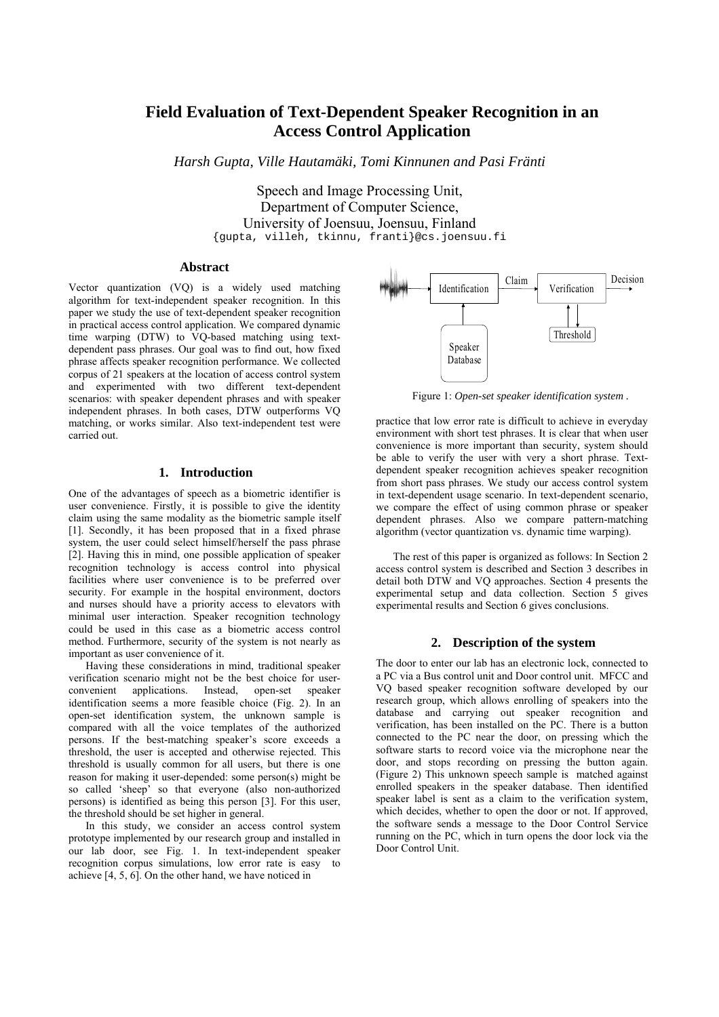# **Field Evaluation of Text-Dependent Speaker Recognition in an Access Control Application**

*Harsh Gupta, Ville Hautamäki, Tomi Kinnunen and Pasi Fränti* 

Speech and Image Processing Unit, Department of Computer Science, University of Joensuu, Joensuu, Finland {gupta, villeh, tkinnu, franti}@cs.joensuu.fi

#### **Abstract**

Vector quantization (VQ) is a widely used matching algorithm for text-independent speaker recognition. In this paper we study the use of text-dependent speaker recognition in practical access control application. We compared dynamic time warping (DTW) to VQ-based matching using textdependent pass phrases. Our goal was to find out, how fixed phrase affects speaker recognition performance. We collected corpus of 21 speakers at the location of access control system and experimented with two different text-dependent scenarios: with speaker dependent phrases and with speaker independent phrases. In both cases, DTW outperforms VQ matching, or works similar. Also text-independent test were carried out.

# **1. Introduction**

One of the advantages of speech as a biometric identifier is user convenience. Firstly, it is possible to give the identity claim using the same modality as the biometric sample itself [1]. Secondly, it has been proposed that in a fixed phrase system, the user could select himself/herself the pass phrase [2]. Having this in mind, one possible application of speaker recognition technology is access control into physical facilities where user convenience is to be preferred over security. For example in the hospital environment, doctors and nurses should have a priority access to elevators with minimal user interaction. Speaker recognition technology could be used in this case as a biometric access control method. Furthermore, security of the system is not nearly as important as user convenience of it.

Having these considerations in mind, traditional speaker verification scenario might not be the best choice for userconvenient applications. Instead, open-set speaker identification seems a more feasible choice (Fig. 2). In an open-set identification system, the unknown sample is compared with all the voice templates of the authorized persons. If the best-matching speaker's score exceeds a threshold, the user is accepted and otherwise rejected. This threshold is usually common for all users, but there is one reason for making it user-depended: some person(s) might be so called 'sheep' so that everyone (also non-authorized persons) is identified as being this person [3]. For this user, the threshold should be set higher in general.

In this study, we consider an access control system prototype implemented by our research group and installed in our lab door, see Fig. 1. In text-independent speaker recognition corpus simulations, low error rate is easy to achieve [4, 5, 6]. On the other hand, we have noticed in



Figure 1: *Open-set speaker identification system .*

practice that low error rate is difficult to achieve in everyday environment with short test phrases. It is clear that when user convenience is more important than security, system should be able to verify the user with very a short phrase. Textdependent speaker recognition achieves speaker recognition from short pass phrases. We study our access control system in text-dependent usage scenario. In text-dependent scenario, we compare the effect of using common phrase or speaker dependent phrases. Also we compare pattern-matching algorithm (vector quantization vs. dynamic time warping).

The rest of this paper is organized as follows: In Section 2 access control system is described and Section 3 describes in detail both DTW and VQ approaches. Section 4 presents the experimental setup and data collection. Section 5 gives experimental results and Section 6 gives conclusions.

## **2. Description of the system**

The door to enter our lab has an electronic lock, connected to a PC via a Bus control unit and Door control unit. MFCC and VQ based speaker recognition software developed by our research group, which allows enrolling of speakers into the database and carrying out speaker recognition and verification, has been installed on the PC. There is a button connected to the PC near the door, on pressing which the software starts to record voice via the microphone near the door, and stops recording on pressing the button again. (Figure 2) This unknown speech sample is matched against enrolled speakers in the speaker database. Then identified speaker label is sent as a claim to the verification system, which decides, whether to open the door or not. If approved, the software sends a message to the Door Control Service running on the PC, which in turn opens the door lock via the Door Control Unit.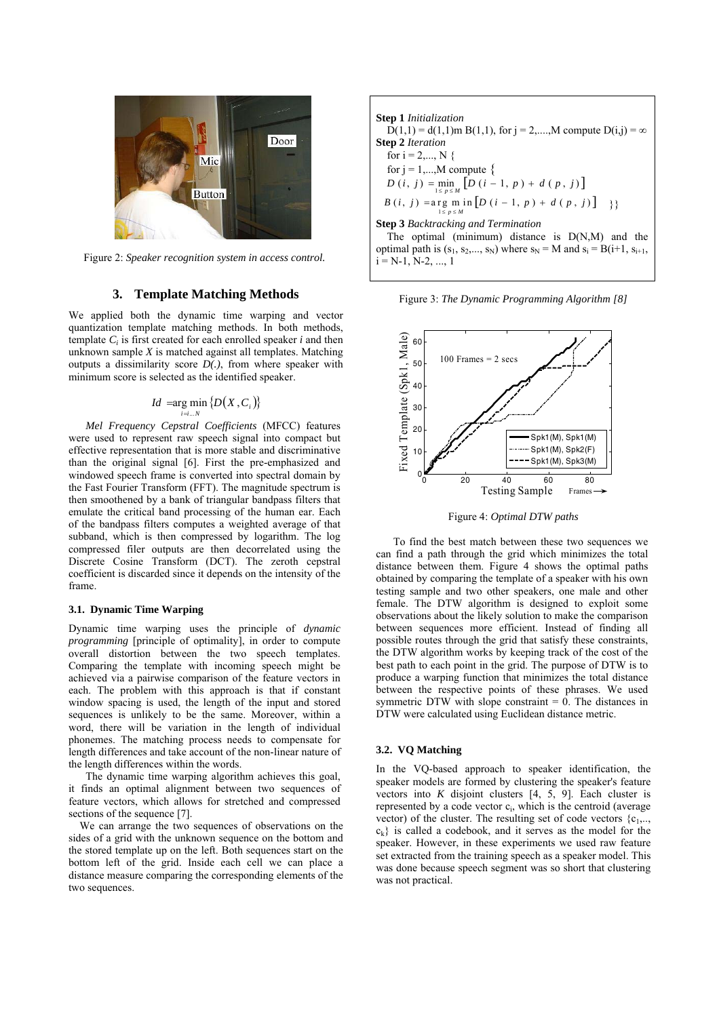

Figure 2: *Speaker recognition system in access control.* 

#### **3. Template Matching Methods**

We applied both the dynamic time warping and vector quantization template matching methods. In both methods, template *Ci* is first created for each enrolled speaker *i* and then unknown sample *X* is matched against all templates. Matching outputs a dissimilarity score *D(.)*, from where speaker with minimum score is selected as the identified speaker.

$$
Id = \arg\min_{i=i...N} \{D(X, C_i)\}
$$

*Mel Frequency Cepstral Coefficients* (MFCC) features were used to represent raw speech signal into compact but effective representation that is more stable and discriminative than the original signal [6]. First the pre-emphasized and windowed speech frame is converted into spectral domain by the Fast Fourier Transform (FFT). The magnitude spectrum is then smoothened by a bank of triangular bandpass filters that emulate the critical band processing of the human ear. Each of the bandpass filters computes a weighted average of that subband, which is then compressed by logarithm. The log compressed filer outputs are then decorrelated using the Discrete Cosine Transform (DCT). The zeroth cepstral coefficient is discarded since it depends on the intensity of the frame.

#### **3.1. Dynamic Time Warping**

Dynamic time warping uses the principle of *dynamic programming* [principle of optimality], in order to compute overall distortion between the two speech templates. Comparing the template with incoming speech might be achieved via a pairwise comparison of the feature vectors in each. The problem with this approach is that if constant window spacing is used, the length of the input and stored sequences is unlikely to be the same. Moreover, within a word, there will be variation in the length of individual phonemes. The matching process needs to compensate for length differences and take account of the non-linear nature of the length differences within the words.

The dynamic time warping algorithm achieves this goal, it finds an optimal alignment between two sequences of feature vectors, which allows for stretched and compressed sections of the sequence [7].

We can arrange the two sequences of observations on the sides of a grid with the unknown sequence on the bottom and the stored template up on the left. Both sequences start on the bottom left of the grid. Inside each cell we can place a distance measure comparing the corresponding elements of the two sequences.

**Step 1** *Initialization*  
\n
$$
D(1,1) = d(1,1)
$$
 m B(1,1), for  $j = 2, \ldots, M$  compute  $D(i,j) = \infty$   
\n**Step 2** *Iteration*  
\nfor  $i = 2, \ldots, N$  {  
\nfor  $j = 1, \ldots, M$  compute {  
\n $D(i, j) = \min_{1 \le p \le M} [D(i - 1, p) + d(p, j)]$   
\n $B(i, j) = \arg_{1 \le p \le M} \ln [D(i - 1, p) + d(p, j)]$  }  
\n**Step 3** *Backtracking and Termination*  
\nThe optimal (minimum) distance is  $D(N,M)$  and the  
\noptimal path is  $(s_1, s_2, \ldots, s_N)$  where  $s_N = M$  and  $s_i = B(i+1, s_{i+1},$   
\n $i = N-1, N-2, \ldots, 1$ 

Figure 3: *The Dynamic Programming Algorithm [8]*



Figure 4: *Optimal DTW paths*

To find the best match between these two sequences we can find a path through the grid which minimizes the total distance between them. Figure 4 shows the optimal paths obtained by comparing the template of a speaker with his own testing sample and two other speakers, one male and other female. The DTW algorithm is designed to exploit some observations about the likely solution to make the comparison between sequences more efficient. Instead of finding all possible routes through the grid that satisfy these constraints, the DTW algorithm works by keeping track of the cost of the best path to each point in the grid. The purpose of DTW is to produce a warping function that minimizes the total distance between the respective points of these phrases. We used symmetric DTW with slope constraint  $= 0$ . The distances in DTW were calculated using Euclidean distance metric.

### **3.2. VQ Matching**

In the VQ-based approach to speaker identification, the speaker models are formed by clustering the speaker's feature vectors into *K* disjoint clusters [4, 5, 9]. Each cluster is represented by a code vector  $c_i$ , which is the centroid (average vector) of the cluster. The resulting set of code vectors  ${c_1, \ldots, c_n}$  $c_k$  is called a codebook, and it serves as the model for the speaker. However, in these experiments we used raw feature set extracted from the training speech as a speaker model. This was done because speech segment was so short that clustering was not practical.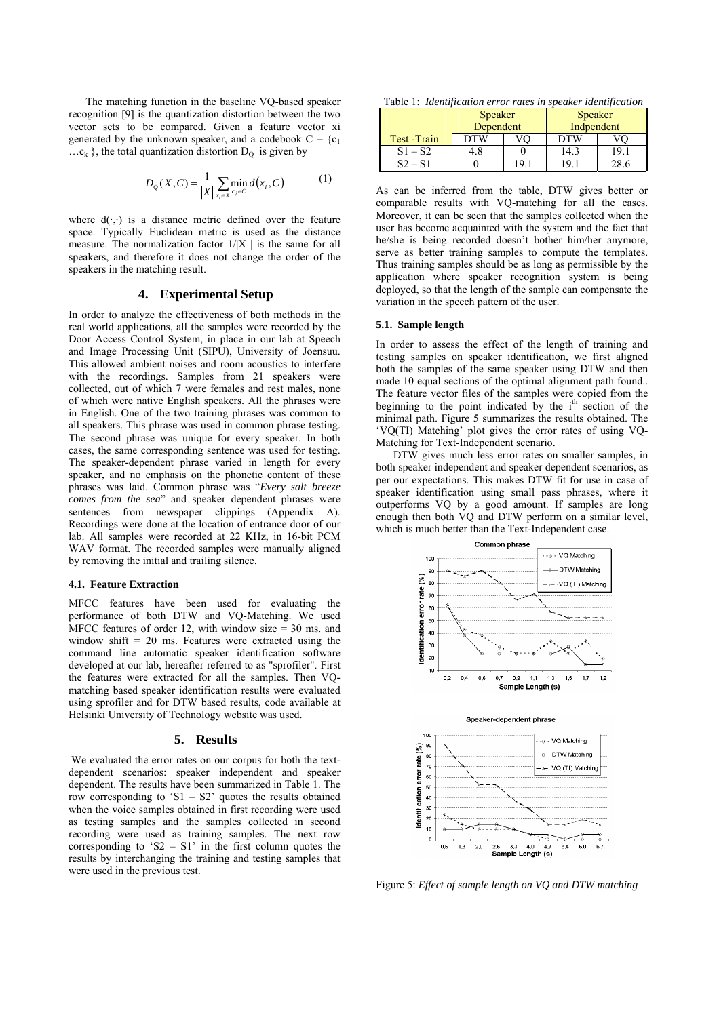The matching function in the baseline VQ-based speaker recognition [9] is the quantization distortion between the two vector sets to be compared. Given a feature vector xi generated by the unknown speaker, and a codebook  $C = \{c_1$  $\ldots c_k$ , the total quantization distortion  $D_0$  is given by

$$
D_{Q}(X, C) = \frac{1}{|X|} \sum_{x_i \in X} \min_{c_j \in C} d(x_i, C)
$$
 (1)

where  $d(\cdot, \cdot)$  is a distance metric defined over the feature space. Typically Euclidean metric is used as the distance measure. The normalization factor  $1/|X|$  is the same for all speakers, and therefore it does not change the order of the speakers in the matching result.

## **4. Experimental Setup**

In order to analyze the effectiveness of both methods in the real world applications, all the samples were recorded by the Door Access Control System, in place in our lab at Speech and Image Processing Unit (SIPU), University of Joensuu. This allowed ambient noises and room acoustics to interfere with the recordings. Samples from 21 speakers were collected, out of which 7 were females and rest males, none of which were native English speakers. All the phrases were in English. One of the two training phrases was common to all speakers. This phrase was used in common phrase testing. The second phrase was unique for every speaker. In both cases, the same corresponding sentence was used for testing. The speaker-dependent phrase varied in length for every speaker, and no emphasis on the phonetic content of these phrases was laid. Common phrase was "*Every salt breeze comes from the sea*" and speaker dependent phrases were sentences from newspaper clippings (Appendix A). Recordings were done at the location of entrance door of our lab. All samples were recorded at 22 KHz, in 16-bit PCM WAV format. The recorded samples were manually aligned by removing the initial and trailing silence.

#### **4.1. Feature Extraction**

MFCC features have been used for evaluating the performance of both DTW and VQ-Matching. We used MFCC features of order 12, with window size  $=$  30 ms. and window shift  $= 20$  ms. Features were extracted using the command line automatic speaker identification software developed at our lab, hereafter referred to as "sprofiler". First the features were extracted for all the samples. Then VQmatching based speaker identification results were evaluated using sprofiler and for DTW based results, code available at Helsinki University of Technology website was used.

#### **5. Results**

We evaluated the error rates on our corpus for both the textdependent scenarios: speaker independent and speaker dependent. The results have been summarized in Table 1. The row corresponding to 'S1 – S2' quotes the results obtained when the voice samples obtained in first recording were used as testing samples and the samples collected in second recording were used as training samples. The next row corresponding to 'S2 – S1' in the first column quotes the results by interchanging the training and testing samples that were used in the previous test.

Table 1: *Identification error rates in speaker identification* 

|              | <b>Speaker</b><br>Dependent |     | <b>Speaker</b><br>Indpendent |      |
|--------------|-----------------------------|-----|------------------------------|------|
| Test - Train | <b>DTW</b>                  |     | <b>DTW</b>                   |      |
| $S1 - S2$    | 4.8                         |     | 14.3                         | 19.1 |
| $S2 - S1$    |                             | 10. | 1 Q                          | 28.6 |

As can be inferred from the table, DTW gives better or comparable results with VQ-matching for all the cases. Moreover, it can be seen that the samples collected when the user has become acquainted with the system and the fact that he/she is being recorded doesn't bother him/her anymore, serve as better training samples to compute the templates. Thus training samples should be as long as permissible by the application where speaker recognition system is being deployed, so that the length of the sample can compensate the variation in the speech pattern of the user.

#### **5.1. Sample length**

In order to assess the effect of the length of training and testing samples on speaker identification, we first aligned both the samples of the same speaker using DTW and then made 10 equal sections of the optimal alignment path found.. The feature vector files of the samples were copied from the beginning to the point indicated by the  $i<sup>th</sup>$  section of the minimal path. Figure 5 summarizes the results obtained. The 'VQ(TI) Matching' plot gives the error rates of using VQ-Matching for Text-Independent scenario.

DTW gives much less error rates on smaller samples, in both speaker independent and speaker dependent scenarios, as per our expectations. This makes DTW fit for use in case of speaker identification using small pass phrases, where it outperforms VQ by a good amount. If samples are long enough then both VQ and DTW perform on a similar level, which is much better than the Text-Independent case.



Figure 5: *Effect of sample length on VQ and DTW matching*